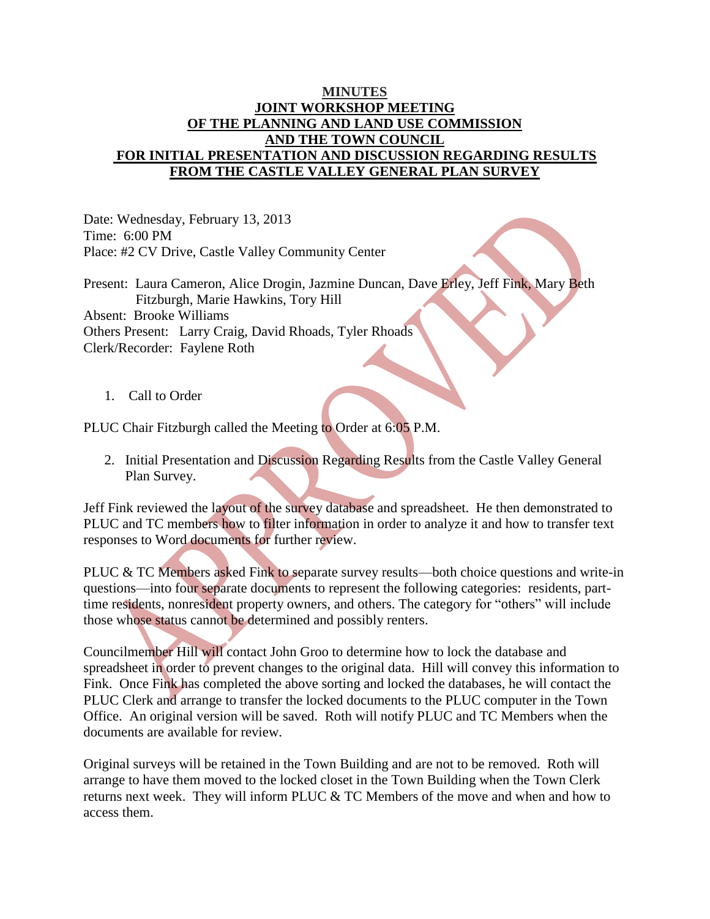## **MINUTES JOINT WORKSHOP MEETING OF THE PLANNING AND LAND USE COMMISSION AND THE TOWN COUNCIL FOR INITIAL PRESENTATION AND DISCUSSION REGARDING RESULTS FROM THE CASTLE VALLEY GENERAL PLAN SURVEY**

Date: Wednesday, February 13, 2013 Time: 6:00 PM Place: #2 CV Drive, Castle Valley Community Center

Present: Laura Cameron, Alice Drogin, Jazmine Duncan, Dave Erley, Jeff Fink, Mary Beth Fitzburgh, Marie Hawkins, Tory Hill Absent: Brooke Williams Others Present: Larry Craig, David Rhoads, Tyler Rhoads Clerk/Recorder: Faylene Roth

1. Call to Order

PLUC Chair Fitzburgh called the Meeting to Order at 6:05 P.M.

2. Initial Presentation and Discussion Regarding Results from the Castle Valley General Plan Survey.

Jeff Fink reviewed the layout of the survey database and spreadsheet. He then demonstrated to PLUC and TC members how to filter information in order to analyze it and how to transfer text responses to Word documents for further review.

PLUC & TC Members asked Fink to separate survey results—both choice questions and write-in questions—into four separate documents to represent the following categories: residents, parttime residents, nonresident property owners, and others. The category for "others" will include those whose status cannot be determined and possibly renters.

Councilmember Hill will contact John Groo to determine how to lock the database and spreadsheet in order to prevent changes to the original data. Hill will convey this information to Fink. Once Fink has completed the above sorting and locked the databases, he will contact the PLUC Clerk and arrange to transfer the locked documents to the PLUC computer in the Town Office. An original version will be saved. Roth will notify PLUC and TC Members when the documents are available for review.

Original surveys will be retained in the Town Building and are not to be removed. Roth will arrange to have them moved to the locked closet in the Town Building when the Town Clerk returns next week. They will inform PLUC & TC Members of the move and when and how to access them.